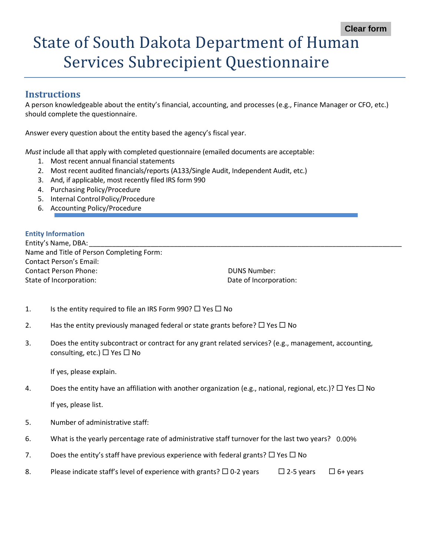# State of South Dakota Department of Human Services Subrecipient Questionnaire

#### **Instructions**

A person knowledgeable about the entity's financial, accounting, and processes (e.g., Finance Manager or CFO, etc.) should complete the questionnaire.

Answer every question about the entity based the agency's fiscal year.

*Must* include all that apply with completed questionnaire (emailed documents are acceptable:

- 1. Most recent annual financial statements
- 2. Most recent audited financials/reports (A133/Single Audit, Independent Audit, etc.)
- 3. And, if applicable, most recently filed IRS form 990
- 4. Purchasing Policy/Procedure
- 5. Internal ControlPolicy/Procedure
- 6. Accounting Policy/Procedure

#### **Entity Information**

Entity's Name, DBA: Name and Title of Person Completing Form: Contact Person's Email: Contact Person Phone: DUNS Number: State of Incorporation: The Contract of Incorporation: Date of Incorporation:

- 1. Is the entity required to file an IRS Form 990?  $\Box$  Yes  $\Box$  No
- 2. Has the entity previously managed federal or state grants before?  $\Box$  Yes  $\Box$  No
- 3. Does the entity subcontract or contract for any grant related services? (e.g., management, accounting, consulting, etc.)  $\Box$  Yes  $\Box$  No

If yes, please explain.

4. Does the entity have an affiliation with another organization (e.g., national, regional, etc.)?  $\Box$  Yes  $\Box$  No

If yes, please list.

- 5. Number of administrative staff:
- 6. What is the yearly percentage rate of administrative staff turnover for the last two years? 0.00%
- 7. Does the entity's staff have previous experience with federal grants?  $\Box$  Yes  $\Box$  No
- 8. Please indicate staff's level of experience with grants?  $\Box$  0-2 years  $\Box$  2-5 years  $\Box$  6+ years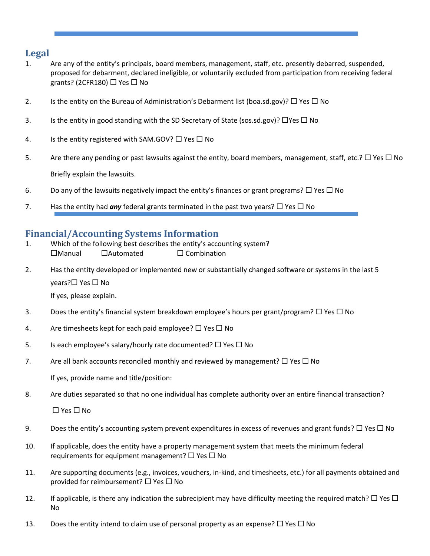## **Legal**

- 1. Are any of the entity's principals, board members, management, staff, etc. presently debarred, suspended, proposed for debarment, declared ineligible, or voluntarily excluded from participation from receiving federal grants? (2CFR180)  $\Box$  Yes  $\Box$  No
- 2. Is the entity on the Bureau of Administration's Debarment list (boa.sd.gov)?  $\Box$  Yes  $\Box$  No
- 3. Is the entity in good standing with the SD Secretary of State (sos.sd.gov)?  $\Box$  Yes  $\Box$  No
- 4. Is the entity registered with SAM.GOV?  $\Box$  Yes  $\Box$  No
- 5. Are there any pending or past lawsuits against the entity, board members, management, staff, etc.?  $\Box$  Yes  $\Box$  No Briefly explain the lawsuits.
- 6. Do any of the lawsuits negatively impact the entity's finances or grant programs?  $\Box$  Yes  $\Box$  No
- 7. Has the entity had **any** federal grants terminated in the past two years?  $\square$  Yes  $\square$  No

#### **Financial/Accounting Systems Information**

- 1. Which of the following best describes the entity's accounting system?  $\Box$ Manual  $\Box$ Automated  $\Box$  Combination
- 2. Has the entity developed or implemented new or substantially changed software or systems in the last 5 years? $\square$  Yes  $\square$  No

If yes, please explain.

- 3. Does the entity's financial system breakdown employee's hours per grant/program?  $\Box$  Yes  $\Box$  No
- 4. Are timesheets kept for each paid employee?  $\Box$  Yes  $\Box$  No
- 5. Is each employee's salary/hourly rate documented?  $\Box$  Yes  $\Box$  No
- 7. Are all bank accounts reconciled monthly and reviewed by management?  $\Box$  Yes  $\Box$  No

If yes, provide name and title/position:

8. Are duties separated so that no one individual has complete authority over an entire financial transaction?

 $\Box$  Yes  $\Box$  No

- 9. Does the entity's accounting system prevent expenditures in excess of revenues and grant funds?  $\Box$  Yes  $\Box$  No
- 10. If applicable, does the entity have a property management system that meets the minimum federal requirements for equipment management?  $\Box$  Yes  $\Box$  No
- 11. Are supporting documents (e.g., invoices, vouchers, in-kind, and timesheets, etc.) for all payments obtained and provided for reimbursement?  $\Box$  Yes  $\Box$  No
- 12. If applicable, is there any indication the subrecipient may have difficulty meeting the required match?  $\Box$  Yes  $\Box$ No
- 13. Does the entity intend to claim use of personal property as an expense?  $\Box$  Yes  $\Box$  No